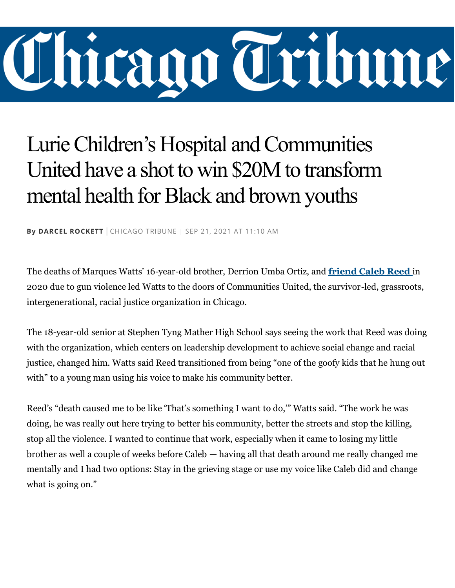## Chicago Tribune

## Lurie Children's Hospital and Communities United have a shot to win \$20M to transform mental health for Black and brown youths

**By [DARCEL ROCKETT](https://www.chicagotribune.com/ct-redeye-darcel-rockett-20170405-staff.html#nt=byline)** | CHICAGO TRIBUNE <sup>|</sup> SEP 21, 2021 AT 11:10 AM

The deaths of Marques Watts' 16-year-old brother, Derrion Umba Ortiz, and **[friend Caleb Reed](https://www.chicagotribune.com/news/breaking/ct-caleb-reed-murder-charges-20200901-26tr2j7u3jglnmaqwdjzirglx4-story.html)** in 2020 due to gun violence led Watts to the doors of Communities United, the survivor-led, grassroots, intergenerational, racial justice organization in Chicago.

The 18-year-old senior at Stephen Tyng Mather High School says seeing the work that Reed was doing with the organization, which centers on leadership development to achieve social change and racial justice, changed him. Watts said Reed transitioned from being "one of the goofy kids that he hung out with" to a young man using his voice to make his community better.

Reed's "death caused me to be like 'That's something I want to do,'" Watts said. "The work he was doing, he was really out here trying to better his community, better the streets and stop the killing, stop all the violence. I wanted to continue that work, especially when it came to losing my little brother as well a couple of weeks before Caleb — having all that death around me really changed me mentally and I had two options: Stay in the grieving stage or use my voice like Caleb did and change what is going on."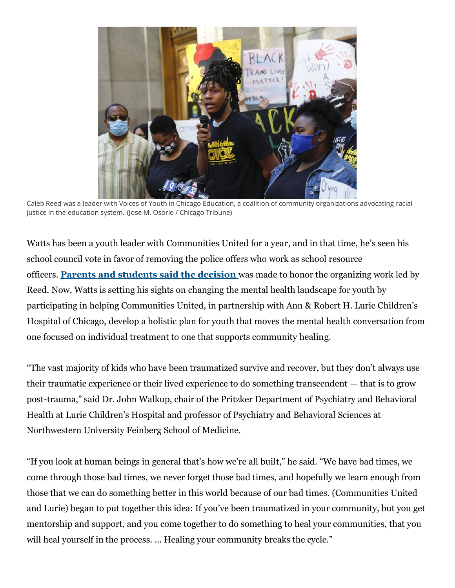

Caleb Reed was a leader with Voices of Youth in Chicago Education, a coalition of community organizations advocating racial justice in the education system. (Jose M. Osorio / Chicago Tribune)

Watts has been a youth leader with Communities United for a year, and in that time, he's seen his school council vote in favor of removing the police offers who work as school resource officers. **[Parents and students said the decision](https://www.chicagotribune.com/news/breaking/ct-cps-mather-high-caleb-reed-school-resource-officer-20200812-q42gabxnnrayjjhvbixnrrqxba-story.html)** was made to honor the organizing work led by Reed. Now, Watts is setting his sights on changing the mental health landscape for youth by participating in helping Communities United, in partnership with Ann & Robert H. Lurie Children's Hospital of Chicago, develop a holistic plan for youth that moves the mental health conversation from one focused on individual treatment to one that supports community healing.

"The vast majority of kids who have been traumatized survive and recover, but they don't always use their traumatic experience or their lived experience to do something transcendent — that is to grow post-trauma," said Dr. John Walkup, chair of the Pritzker Department of Psychiatry and Behavioral Health at Lurie Children's Hospital and professor of Psychiatry and Behavioral Sciences at Northwestern University Feinberg School of Medicine.

"If you look at human beings in general that's how we're all built," he said. "We have bad times, we come through those bad times, we never forget those bad times, and hopefully we learn enough from those that we can do something better in this world because of our bad times. (Communities United and Lurie) began to put together this idea: If you've been traumatized in your community, but you get mentorship and support, and you come together to do something to heal your communities, that you will heal yourself in the process. ... Healing your community breaks the cycle."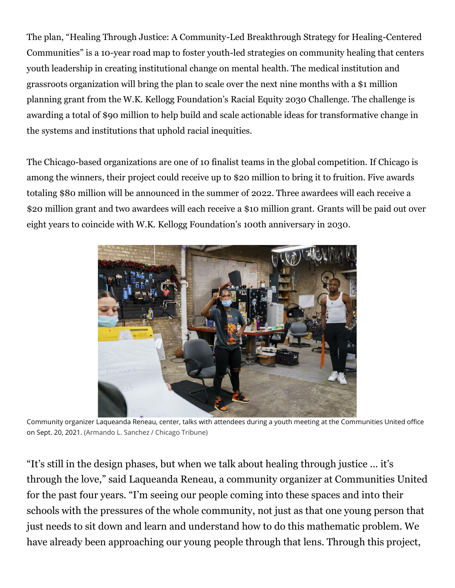The plan, "Healing Through Justice: A Community-Led Breakthrough Strategy for Healing-Centered Communities" is a 10-year road map to foster youth-led strategies on community healing that centers youth leadership in creating institutional change on mental health. The medical institution and grassroots organization will bring the plan to scale over the next nine months with a \$1 million planning grant from the W.K. Kellogg Foundation's Racial Equity 2030 Challenge. The challenge is awarding a total of \$90 million to help build and scale actionable ideas for transformative change in the systems and institutions that uphold racial inequities.

The Chicago-based organizations are one of 10 finalist teams in the global competition. If Chicago is among the winners, their project could receive up to \$20 million to bring it to fruition. Five awards totaling \$80 million will be announced in the summer of 2022. Three awardees will each receive a \$20 million grant and two awardees will each receive a \$10 million grant. Grants will be paid out over eight years to coincide with W.K. Kellogg Foundation's 100th anniversary in 2030.



Community organizer Laqueanda Reneau, center, talks with attendees during a youth meeting at the Communities United office on Sept. 20, 2021. (Armando L. Sanchez / Chicago Tribune)

"It's still in the design phases, but when we talk about healing through justice ... it's through the love," said Laqueanda Reneau, a community organizer at Communities United for the past four years. "I'm seeing our people coming into these spaces and into their schools with the pressures of the whole community, not just as that one young person that just needs to sit down and learn and understand how to do this mathematic problem. We have already been approaching our young people through that lens. Through this project,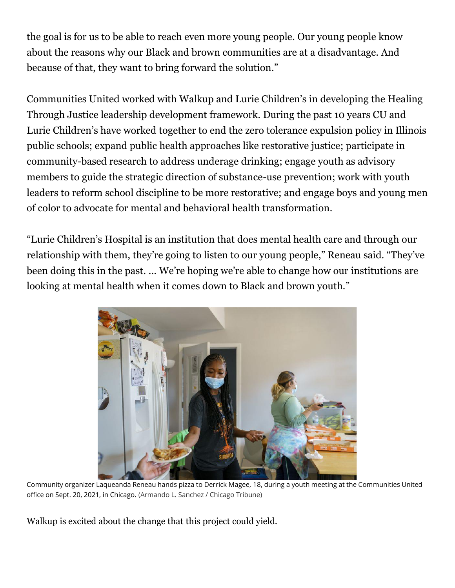the goal is for us to be able to reach even more young people. Our young people know about the reasons why our Black and brown communities are at a disadvantage. And because of that, they want to bring forward the solution."

Communities United worked with Walkup and Lurie Children's in developing the Healing Through Justice leadership development framework. During the past 10 years CU and Lurie Children's have worked together to end the zero tolerance expulsion policy in Illinois public schools; expand public health approaches like restorative justice; participate in community-based research to address underage drinking; engage youth as advisory members to guide the strategic direction of substance-use prevention; work with youth leaders to reform school discipline to be more restorative; and engage boys and young men of color to advocate for mental and behavioral health transformation.

"Lurie Children's Hospital is an institution that does mental health care and through our relationship with them, they're going to listen to our young people," Reneau said. "They've been doing this in the past. ... We're hoping we're able to change how our institutions are looking at mental health when it comes down to Black and brown youth."



Community organizer Laqueanda Reneau hands pizza to Derrick Magee, 18, during a youth meeting at the Communities United office on Sept. 20, 2021, in Chicago. (Armando L. Sanchez / Chicago Tribune)

Walkup is excited about the change that this project could yield.